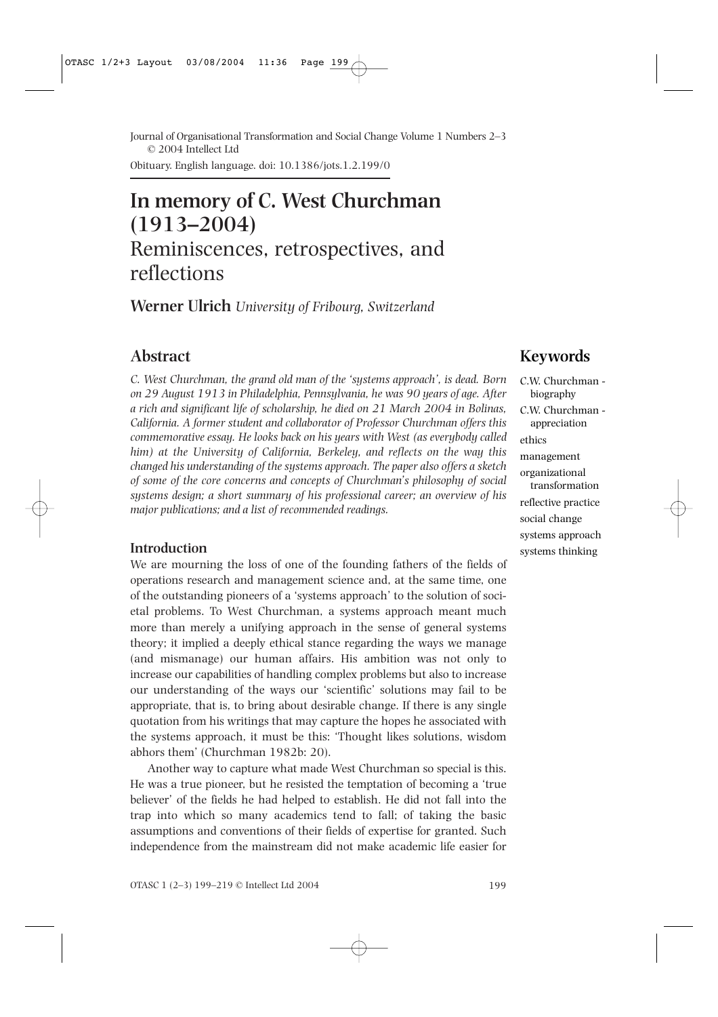Journal of Organisational Transformation and Social Change Volume 1 Numbers 2–3 © 2004 Intellect Ltd

Obituary. English language. doi: 10.1386/jots.1.2.199/0

# **In memory of C. West Churchman (1913–2004)** Reminiscences, retrospectives, and reflections

### **Werner Ulrich** *University of Fribourg, Switzerland*

# **Abstract**

*C. West Churchman, the grand old man of the 'systems approach', is dead. Born on 29 August 1913 in Philadelphia, Pennsylvania, he was 90 years of age. After a rich and significant life of scholarship, he died on 21 March 2004 in Bolinas, California. A former student and collaborator of Professor Churchman offers this commemorative essay. He looks back on his years with West (as everybody called him) at the University of California, Berkeley, and reflects on the way this changed his understanding of the systems approach. The paper also offers a sketch of some of the core concerns and concepts of Churchman's philosophy of social systems design; a short summary of his professional career; an overview of his major publications; and a list of recommended readings.*

#### **Introduction**

We are mourning the loss of one of the founding fathers of the fields of operations research and management science and, at the same time, one of the outstanding pioneers of a 'systems approach' to the solution of societal problems. To West Churchman, a systems approach meant much more than merely a unifying approach in the sense of general systems theory; it implied a deeply ethical stance regarding the ways we manage (and mismanage) our human affairs. His ambition was not only to increase our capabilities of handling complex problems but also to increase our understanding of the ways our 'scientific' solutions may fail to be appropriate, that is, to bring about desirable change. If there is any single quotation from his writings that may capture the hopes he associated with the systems approach, it must be this: 'Thought likes solutions, wisdom abhors them' (Churchman 1982b: 20).

Another way to capture what made West Churchman so special is this. He was a true pioneer, but he resisted the temptation of becoming a 'true believer' of the fields he had helped to establish. He did not fall into the trap into which so many academics tend to fall; of taking the basic assumptions and conventions of their fields of expertise for granted. Such independence from the mainstream did not make academic life easier for

OTASC 1 (2–3) 199–219 © Intellect Ltd 2004 199

# **Keywords**

C.W. Churchman biography C.W. Churchman appreciation ethics management organizational transformation reflective practice social change systems approach systems thinking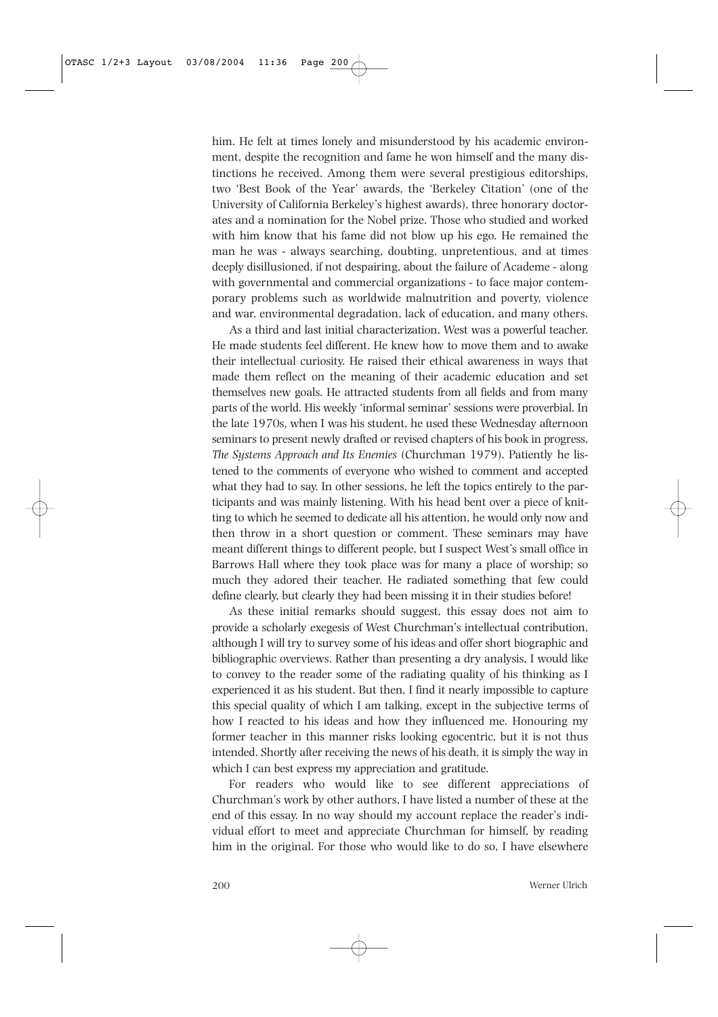him. He felt at times lonely and misunderstood by his academic environment, despite the recognition and fame he won himself and the many distinctions he received. Among them were several prestigious editorships, two 'Best Book of the Year' awards, the 'Berkeley Citation' (one of the University of California Berkeley's highest awards), three honorary doctorates and a nomination for the Nobel prize. Those who studied and worked with him know that his fame did not blow up his ego. He remained the man he was - always searching, doubting, unpretentious, and at times deeply disillusioned, if not despairing, about the failure of Academe - along with governmental and commercial organizations - to face major contemporary problems such as worldwide malnutrition and poverty, violence and war, environmental degradation, lack of education, and many others.

As a third and last initial characterization, West was a powerful teacher. He made students feel different. He knew how to move them and to awake their intellectual curiosity. He raised their ethical awareness in ways that made them reflect on the meaning of their academic education and set themselves new goals. He attracted students from all fields and from many parts of the world. His weekly 'informal seminar' sessions were proverbial. In the late 1970s, when I was his student, he used these Wednesday afternoon seminars to present newly drafted or revised chapters of his book in progress, *The Systems Approach and Its Enemies* (Churchman 1979). Patiently he listened to the comments of everyone who wished to comment and accepted what they had to say. In other sessions, he left the topics entirely to the participants and was mainly listening. With his head bent over a piece of knitting to which he seemed to dedicate all his attention, he would only now and then throw in a short question or comment. These seminars may have meant different things to different people, but I suspect West's small office in Barrows Hall where they took place was for many a place of worship; so much they adored their teacher. He radiated something that few could define clearly, but clearly they had been missing it in their studies before!

As these initial remarks should suggest, this essay does not aim to provide a scholarly exegesis of West Churchman's intellectual contribution, although I will try to survey some of his ideas and offer short biographic and bibliographic overviews. Rather than presenting a dry analysis, I would like to convey to the reader some of the radiating quality of his thinking as I experienced it as his student. But then, I find it nearly impossible to capture this special quality of which I am talking, except in the subjective terms of how I reacted to his ideas and how they influenced me. Honouring my former teacher in this manner risks looking egocentric, but it is not thus intended. Shortly after receiving the news of his death, it is simply the way in which I can best express my appreciation and gratitude.

For readers who would like to see different appreciations of Churchman's work by other authors, I have listed a number of these at the end of this essay. In no way should my account replace the reader's individual effort to meet and appreciate Churchman for himself, by reading him in the original. For those who would like to do so, I have elsewhere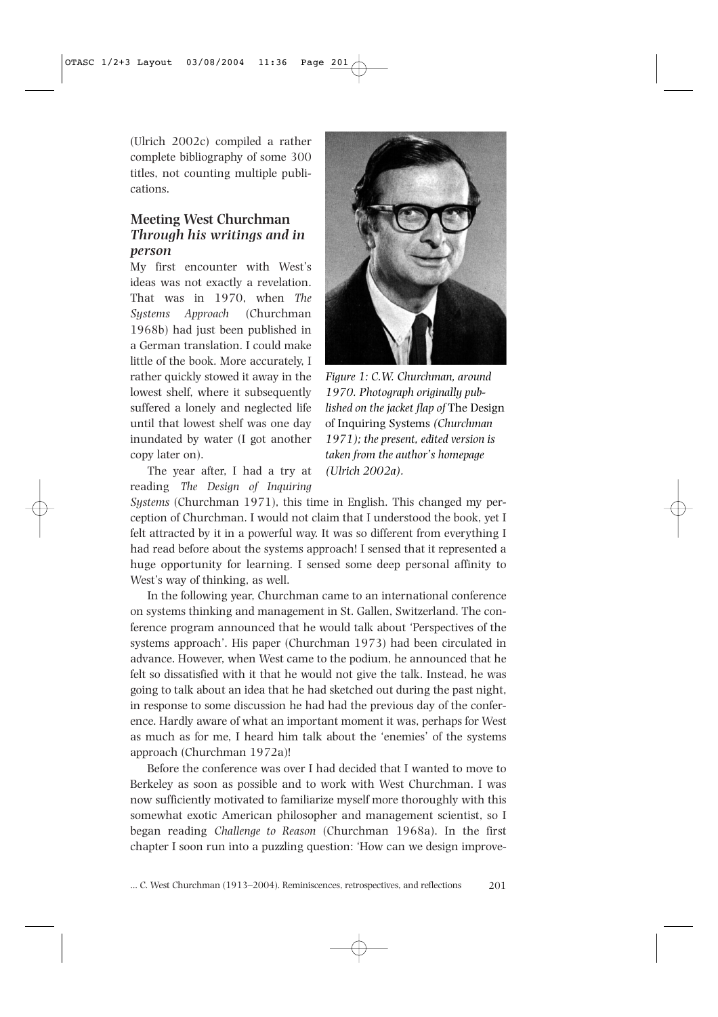(Ulrich 2002c) compiled a rather complete bibliography of some 300 titles, not counting multiple publications.

## **Meeting West Churchman** *Through his writings and in person*

My first encounter with West's ideas was not exactly a revelation. That was in 1970, when *The Systems Approach* (Churchman 1968b) had just been published in a German translation. I could make little of the book. More accurately, I rather quickly stowed it away in the lowest shelf, where it subsequently suffered a lonely and neglected life until that lowest shelf was one day inundated by water (I got another copy later on).



*Figure 1: C.W. Churchman, around 1970. Photograph originally published on the jacket flap of* The Design of Inquiring Systems *(Churchman 1971); the present, edited version is taken from the author's homepage (Ulrich 2002a).*

The year after, I had a try at reading *The Design of Inquiring*

*Systems* (Churchman 1971), this time in English. This changed my perception of Churchman. I would not claim that I understood the book, yet I felt attracted by it in a powerful way. It was so different from everything I had read before about the systems approach! I sensed that it represented a huge opportunity for learning. I sensed some deep personal affinity to West's way of thinking, as well.

In the following year, Churchman came to an international conference on systems thinking and management in St. Gallen, Switzerland. The conference program announced that he would talk about 'Perspectives of the systems approach'. His paper (Churchman 1973) had been circulated in advance. However, when West came to the podium, he announced that he felt so dissatisfied with it that he would not give the talk. Instead, he was going to talk about an idea that he had sketched out during the past night, in response to some discussion he had had the previous day of the conference. Hardly aware of what an important moment it was, perhaps for West as much as for me, I heard him talk about the 'enemies' of the systems approach (Churchman 1972a)!

Before the conference was over I had decided that I wanted to move to Berkeley as soon as possible and to work with West Churchman. I was now sufficiently motivated to familiarize myself more thoroughly with this somewhat exotic American philosopher and management scientist, so I began reading *Challenge to Reason* (Churchman 1968a). In the first chapter I soon run into a puzzling question: 'How can we design improve-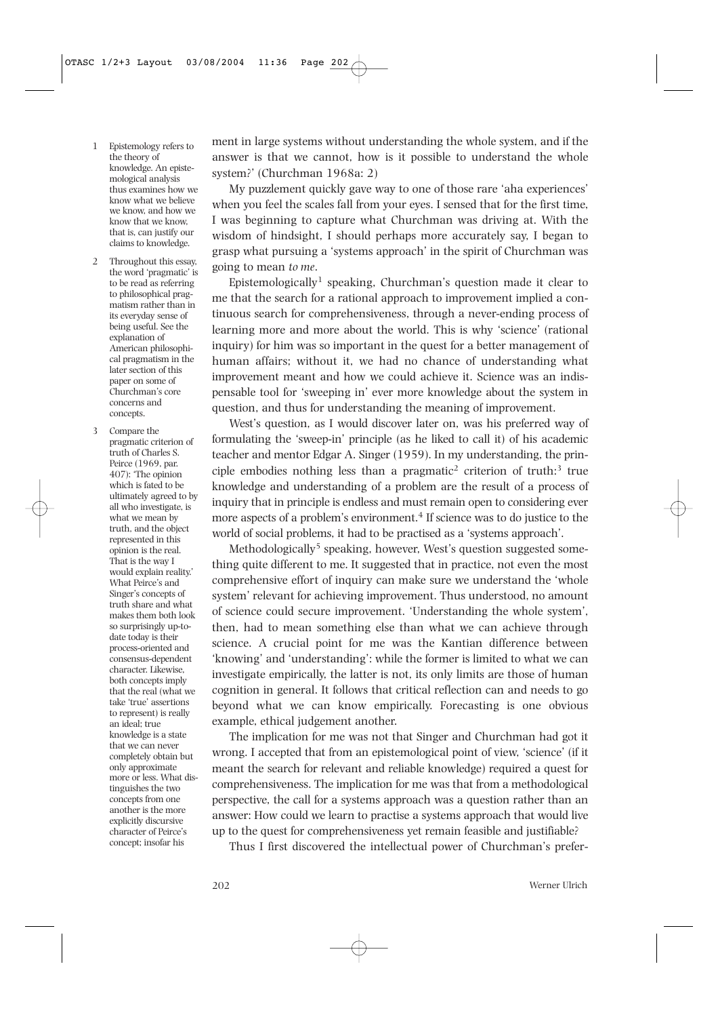- 1 Epistemology refers to the theory of knowledge. An epistemological analysis thus examines how we know what we believe we know, and how we know that we know, that is, can justify our claims to knowledge.
- 2 Throughout this essay, the word 'pragmatic' is to be read as referring to philosophical pragmatism rather than in its everyday sense of being useful. See the explanation of American philosophical pragmatism in the later section of this paper on some of Churchman's core concerns and concepts.
- 3 Compare the pragmatic criterion of truth of Charles S. Peirce (1969, par. 407): 'The opinion which is fated to be ultimately agreed to by all who investigate, is what we mean by truth, and the object represented in this opinion is the real. That is the way I would explain reality.' What Peirce's and Singer's concepts of truth share and what makes them both look so surprisingly up-todate today is their process-oriented and consensus-dependent character. Likewise, both concepts imply that the real (what we take 'true' assertions to represent) is really an ideal; true knowledge is a state that we can never completely obtain but only approximate more or less. What distinguishes the two concepts from one another is the more explicitly discursive character of Peirce's concept; insofar his

ment in large systems without understanding the whole system, and if the answer is that we cannot, how is it possible to understand the whole system?' (Churchman 1968a: 2)

My puzzlement quickly gave way to one of those rare 'aha experiences' when you feel the scales fall from your eyes. I sensed that for the first time, I was beginning to capture what Churchman was driving at. With the wisdom of hindsight, I should perhaps more accurately say, I began to grasp what pursuing a 'systems approach' in the spirit of Churchman was going to mean *to me*.

Epistemologically<sup>1</sup> speaking, Churchman's question made it clear to me that the search for a rational approach to improvement implied a continuous search for comprehensiveness, through a never-ending process of learning more and more about the world. This is why 'science' (rational inquiry) for him was so important in the quest for a better management of human affairs; without it, we had no chance of understanding what improvement meant and how we could achieve it. Science was an indispensable tool for 'sweeping in' ever more knowledge about the system in question, and thus for understanding the meaning of improvement.

West's question, as I would discover later on, was his preferred way of formulating the 'sweep-in' principle (as he liked to call it) of his academic teacher and mentor Edgar A. Singer (1959). In my understanding, the principle embodies nothing less than a pragmatic<sup>2</sup> criterion of truth:<sup>3</sup> true knowledge and understanding of a problem are the result of a process of inquiry that in principle is endless and must remain open to considering ever more aspects of a problem's environment.<sup>4</sup> If science was to do justice to the world of social problems, it had to be practised as a 'systems approach'.

Methodologically<sup>5</sup> speaking, however, West's question suggested something quite different to me. It suggested that in practice, not even the most comprehensive effort of inquiry can make sure we understand the 'whole system' relevant for achieving improvement. Thus understood, no amount of science could secure improvement. 'Understanding the whole system', then, had to mean something else than what we can achieve through science. A crucial point for me was the Kantian difference between 'knowing' and 'understanding': while the former is limited to what we can investigate empirically, the latter is not, its only limits are those of human cognition in general. It follows that critical reflection can and needs to go beyond what we can know empirically. Forecasting is one obvious example, ethical judgement another.

The implication for me was not that Singer and Churchman had got it wrong. I accepted that from an epistemological point of view, 'science' (if it meant the search for relevant and reliable knowledge) required a quest for comprehensiveness. The implication for me was that from a methodological perspective, the call for a systems approach was a question rather than an answer: How could we learn to practise a systems approach that would live up to the quest for comprehensiveness yet remain feasible and justifiable?

Thus I first discovered the intellectual power of Churchman's prefer-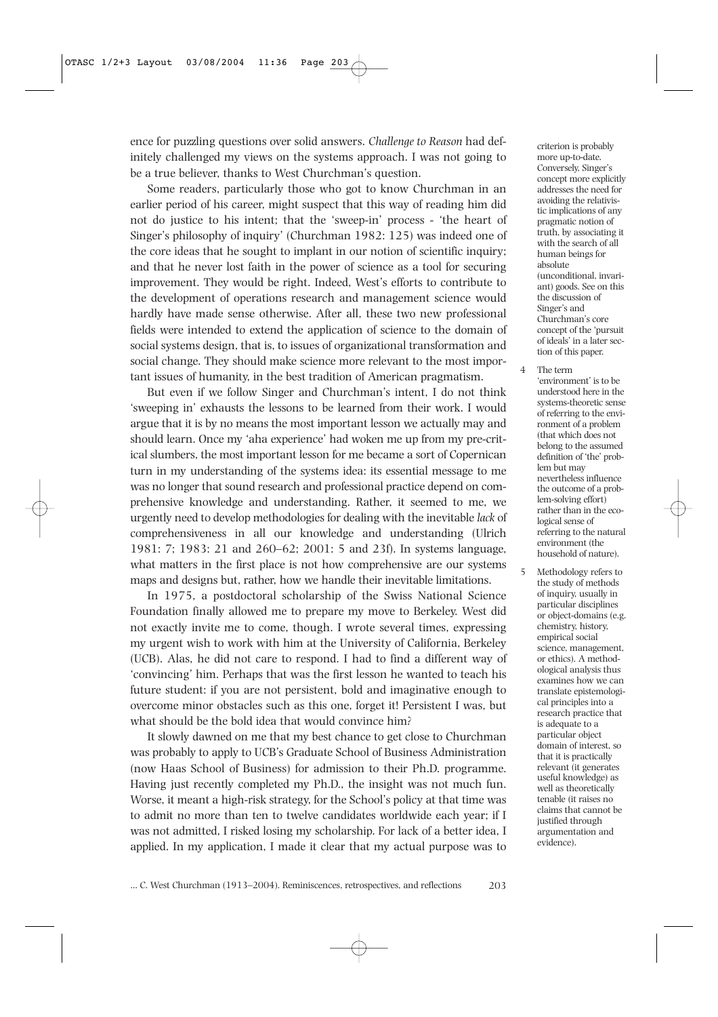ence for puzzling questions over solid answers. *Challenge to Reason* had definitely challenged my views on the systems approach. I was not going to be a true believer, thanks to West Churchman's question.

Some readers, particularly those who got to know Churchman in an earlier period of his career, might suspect that this way of reading him did not do justice to his intent; that the 'sweep-in' process - 'the heart of Singer's philosophy of inquiry' (Churchman 1982: 125) was indeed one of the core ideas that he sought to implant in our notion of scientific inquiry; and that he never lost faith in the power of science as a tool for securing improvement. They would be right. Indeed, West's efforts to contribute to the development of operations research and management science would hardly have made sense otherwise. After all, these two new professional fields were intended to extend the application of science to the domain of social systems design, that is, to issues of organizational transformation and social change. They should make science more relevant to the most important issues of humanity, in the best tradition of American pragmatism.

But even if we follow Singer and Churchman's intent, I do not think 'sweeping in' exhausts the lessons to be learned from their work. I would argue that it is by no means the most important lesson we actually may and should learn. Once my 'aha experience' had woken me up from my pre-critical slumbers, the most important lesson for me became a sort of Copernican turn in my understanding of the systems idea: its essential message to me was no longer that sound research and professional practice depend on comprehensive knowledge and understanding. Rather, it seemed to me, we urgently need to develop methodologies for dealing with the inevitable *lack* of comprehensiveness in all our knowledge and understanding (Ulrich 1981: 7; 1983: 21 and 260–62; 2001: 5 and 23f). In systems language, what matters in the first place is not how comprehensive are our systems maps and designs but, rather, how we handle their inevitable limitations.

In 1975, a postdoctoral scholarship of the Swiss National Science Foundation finally allowed me to prepare my move to Berkeley. West did not exactly invite me to come, though. I wrote several times, expressing my urgent wish to work with him at the University of California, Berkeley (UCB). Alas, he did not care to respond. I had to find a different way of 'convincing' him. Perhaps that was the first lesson he wanted to teach his future student: if you are not persistent, bold and imaginative enough to overcome minor obstacles such as this one, forget it! Persistent I was, but what should be the bold idea that would convince him?

It slowly dawned on me that my best chance to get close to Churchman was probably to apply to UCB's Graduate School of Business Administration (now Haas School of Business) for admission to their Ph.D. programme. Having just recently completed my Ph.D., the insight was not much fun. Worse, it meant a high-risk strategy, for the School's policy at that time was to admit no more than ten to twelve candidates worldwide each year; if I was not admitted, I risked losing my scholarship. For lack of a better idea, I applied. In my application, I made it clear that my actual purpose was to criterion is probably more up-to-date. Conversely, Singer's concept more explicitly addresses the need for avoiding the relativistic implications of any pragmatic notion of truth, by associating it with the search of all human beings for absolute (unconditional, invariant) goods. See on this the discussion of Singer's and Churchman's core concept of the 'pursuit of ideals' in a later section of this paper.

- 4 The term 'environment' is to be understood here in the systems-theoretic sense of referring to the environment of a problem (that which does not belong to the assumed definition of 'the' problem but may nevertheless influence the outcome of a problem-solving effort) rather than in the ecological sense of referring to the natural environment (the household of nature).
- 5 Methodology refers to the study of methods of inquiry, usually in particular disciplines or object-domains (e.g. chemistry, history, empirical social science, management, or ethics). A methodological analysis thus examines how we can translate epistemological principles into a research practice that is adequate to a particular object domain of interest, so that it is practically relevant (it generates useful knowledge) as well as theoretically tenable (it raises no claims that cannot be justified through argumentation and evidence).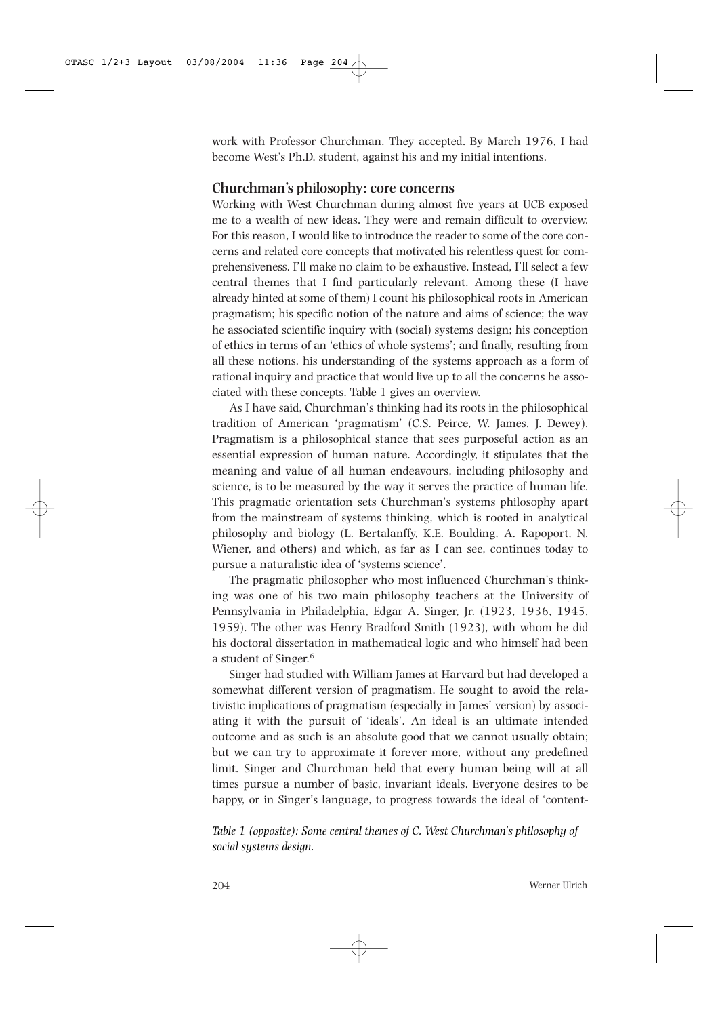work with Professor Churchman. They accepted. By March 1976, I had become West's Ph.D. student, against his and my initial intentions.

#### **Churchman's philosophy: core concerns**

Working with West Churchman during almost five years at UCB exposed me to a wealth of new ideas. They were and remain difficult to overview. For this reason, I would like to introduce the reader to some of the core concerns and related core concepts that motivated his relentless quest for comprehensiveness. I'll make no claim to be exhaustive. Instead, I'll select a few central themes that I find particularly relevant. Among these (I have already hinted at some of them) I count his philosophical roots in American pragmatism; his specific notion of the nature and aims of science; the way he associated scientific inquiry with (social) systems design; his conception of ethics in terms of an 'ethics of whole systems'; and finally, resulting from all these notions, his understanding of the systems approach as a form of rational inquiry and practice that would live up to all the concerns he associated with these concepts. Table 1 gives an overview.

As I have said, Churchman's thinking had its roots in the philosophical tradition of American 'pragmatism' (C.S. Peirce, W. James, J. Dewey). Pragmatism is a philosophical stance that sees purposeful action as an essential expression of human nature. Accordingly, it stipulates that the meaning and value of all human endeavours, including philosophy and science, is to be measured by the way it serves the practice of human life. This pragmatic orientation sets Churchman's systems philosophy apart from the mainstream of systems thinking, which is rooted in analytical philosophy and biology (L. Bertalanffy, K.E. Boulding, A. Rapoport, N. Wiener, and others) and which, as far as I can see, continues today to pursue a naturalistic idea of 'systems science'.

The pragmatic philosopher who most influenced Churchman's thinking was one of his two main philosophy teachers at the University of Pennsylvania in Philadelphia, Edgar A. Singer, Jr. (1923, 1936, 1945, 1959). The other was Henry Bradford Smith (1923), with whom he did his doctoral dissertation in mathematical logic and who himself had been a student of Singer.6

Singer had studied with William James at Harvard but had developed a somewhat different version of pragmatism. He sought to avoid the relativistic implications of pragmatism (especially in James' version) by associating it with the pursuit of 'ideals'. An ideal is an ultimate intended outcome and as such is an absolute good that we cannot usually obtain; but we can try to approximate it forever more, without any predefined limit. Singer and Churchman held that every human being will at all times pursue a number of basic, invariant ideals. Everyone desires to be happy, or in Singer's language, to progress towards the ideal of 'content-

*Table 1 (opposite): Some central themes of C. West Churchman's philosophy of social systems design.*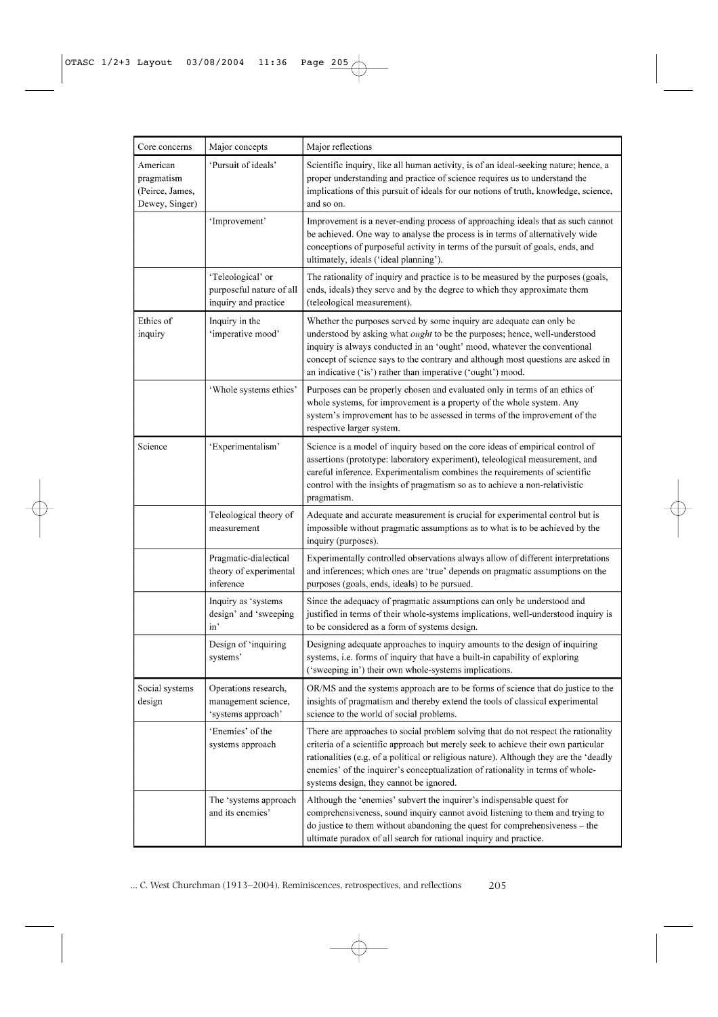| Core concerns                                               | Major concepts                                                        | Major reflections                                                                                                                                                                                                                                                                                                                                                                              |
|-------------------------------------------------------------|-----------------------------------------------------------------------|------------------------------------------------------------------------------------------------------------------------------------------------------------------------------------------------------------------------------------------------------------------------------------------------------------------------------------------------------------------------------------------------|
| American<br>pragmatism<br>(Peirce, James,<br>Dewey, Singer) | 'Pursuit of ideals'                                                   | Scientific inquiry, like all human activity, is of an ideal-seeking nature; hence, a<br>proper understanding and practice of science requires us to understand the<br>implications of this pursuit of ideals for our notions of truth, knowledge, science,<br>and so on.                                                                                                                       |
|                                                             | 'Improvement'                                                         | Improvement is a never-ending process of approaching ideals that as such cannot<br>be achieved. One way to analyse the process is in terms of alternatively wide<br>conceptions of purposeful activity in terms of the pursuit of goals, ends, and<br>ultimately, ideals ('ideal planning').                                                                                                   |
|                                                             | 'Teleological' or<br>purposeful nature of all<br>inquiry and practice | The rationality of inquiry and practice is to be measured by the purposes (goals,<br>ends, ideals) they serve and by the degree to which they approximate them<br>(teleological measurement).                                                                                                                                                                                                  |
| Ethics of<br>inquiry                                        | Inquiry in the<br>'imperative mood'                                   | Whether the purposes served by some inquiry are adequate can only be<br>understood by asking what <i>ought</i> to be the purposes; hence, well-understood<br>inquiry is always conducted in an 'ought' mood, whatever the conventional<br>concept of science says to the contrary and although most questions are asked in<br>an indicative ('is') rather than imperative ('ought') mood.      |
|                                                             | 'Whole systems ethics'                                                | Purposes can be properly chosen and evaluated only in terms of an ethics of<br>whole systems, for improvement is a property of the whole system. Any<br>system's improvement has to be assessed in terms of the improvement of the<br>respective larger system.                                                                                                                                |
| Science                                                     | 'Experimentalism'                                                     | Science is a model of inquiry based on the core ideas of empirical control of<br>assertions (prototype: laboratory experiment), teleological measurement, and<br>careful inference. Experimentalism combines the requirements of scientific<br>control with the insights of pragmatism so as to achieve a non-relativistic<br>pragmatism.                                                      |
|                                                             | Teleological theory of<br>measurement                                 | Adequate and accurate measurement is crucial for experimental control but is<br>impossible without pragmatic assumptions as to what is to be achieved by the<br>inquiry (purposes).                                                                                                                                                                                                            |
|                                                             | Pragmatic-dialectical<br>theory of experimental<br>inference          | Experimentally controlled observations always allow of different interpretations<br>and inferences; which ones are 'true' depends on pragmatic assumptions on the<br>purposes (goals, ends, ideals) to be pursued.                                                                                                                                                                             |
|                                                             | Inquiry as 'systems<br>design' and 'sweeping<br>in'                   | Since the adequacy of pragmatic assumptions can only be understood and<br>justified in terms of their whole-systems implications, well-understood inquiry is<br>to be considered as a form of systems design.                                                                                                                                                                                  |
|                                                             | Design of 'inquiring<br>systems'                                      | Designing adequate approaches to inquiry amounts to the design of inquiring<br>systems, i.e. forms of inquiry that have a built-in capability of exploring<br>('sweeping in') their own whole-systems implications.                                                                                                                                                                            |
| Social systems<br>design                                    | Operations research,<br>management science,<br>'systems approach'     | OR/MS and the systems approach are to be forms of science that do justice to the<br>insights of pragmatism and thereby extend the tools of classical experimental<br>science to the world of social problems.                                                                                                                                                                                  |
|                                                             | 'Enemies' of the<br>systems approach                                  | There are approaches to social problem solving that do not respect the rationality<br>criteria of a scientific approach but merely seek to achieve their own particular<br>rationalities (e.g. of a political or religious nature). Although they are the 'deadly<br>enemies' of the inquirer's conceptualization of rationality in terms of whole-<br>systems design, they cannot be ignored. |
|                                                             | The 'systems approach<br>and its enemies'                             | Although the 'enemies' subvert the inquirer's indispensable quest for<br>comprehensiveness, sound inquiry cannot avoid listening to them and trying to<br>do justice to them without abandoning the quest for comprehensiveness – the<br>ultimate paradox of all search for rational inquiry and practice.                                                                                     |

... C. West Churchman (1913–2004). Reminiscences, retrospectives, and reflections 205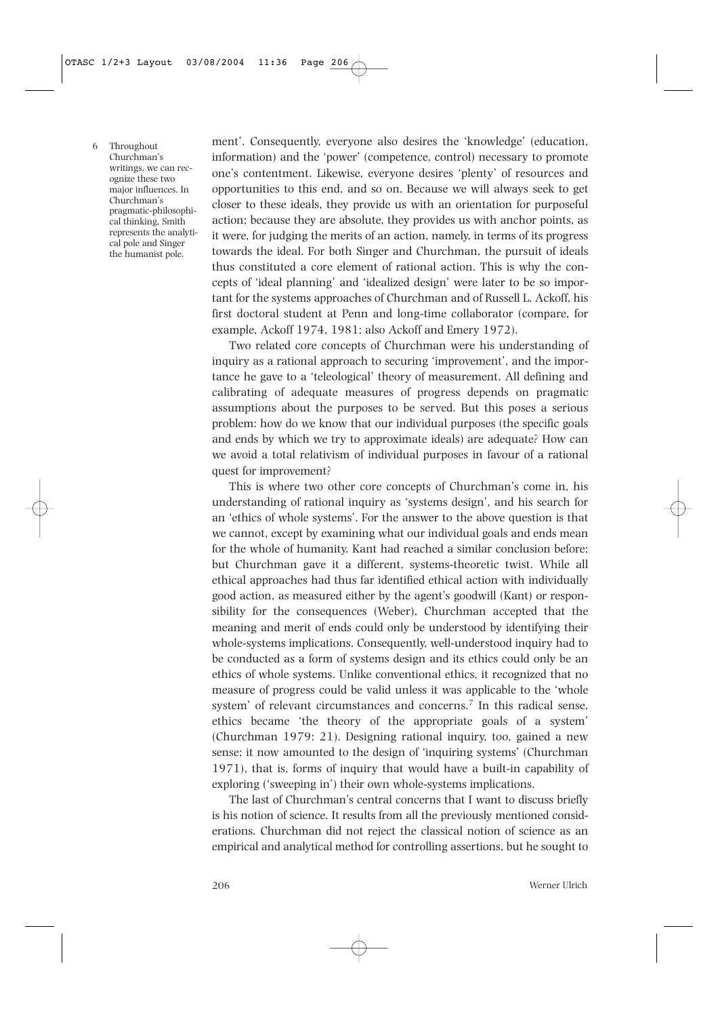6 Throughout Churchman's writings, we can recognize these two major influences. In Churchman's pragmatic-philosophical thinking, Smith represents the analytical pole and Singer the humanist pole.

ment'. Consequently, everyone also desires the 'knowledge' (education, information) and the 'power' (competence, control) necessary to promote one's contentment. Likewise, everyone desires 'plenty' of resources and opportunities to this end, and so on. Because we will always seek to get closer to these ideals, they provide us with an orientation for purposeful action; because they are absolute, they provides us with anchor points, as it were, for judging the merits of an action, namely, in terms of its progress towards the ideal. For both Singer and Churchman, the pursuit of ideals thus constituted a core element of rational action. This is why the concepts of 'ideal planning' and 'idealized design' were later to be so important for the systems approaches of Churchman and of Russell L. Ackoff, his first doctoral student at Penn and long-time collaborator (compare, for example, Ackoff 1974, 1981; also Ackoff and Emery 1972).

Two related core concepts of Churchman were his understanding of inquiry as a rational approach to securing 'improvement', and the importance he gave to a 'teleological' theory of measurement. All defining and calibrating of adequate measures of progress depends on pragmatic assumptions about the purposes to be served. But this poses a serious problem: how do we know that our individual purposes (the specific goals and ends by which we try to approximate ideals) are adequate? How can we avoid a total relativism of individual purposes in favour of a rational quest for improvement?

This is where two other core concepts of Churchman's come in, his understanding of rational inquiry as 'systems design', and his search for an 'ethics of whole systems'. For the answer to the above question is that we cannot, except by examining what our individual goals and ends mean for the whole of humanity. Kant had reached a similar conclusion before; but Churchman gave it a different, systems-theoretic twist. While all ethical approaches had thus far identified ethical action with individually good action, as measured either by the agent's goodwill (Kant) or responsibility for the consequences (Weber), Churchman accepted that the meaning and merit of ends could only be understood by identifying their whole-systems implications. Consequently, well-understood inquiry had to be conducted as a form of systems design and its ethics could only be an ethics of whole systems. Unlike conventional ethics, it recognized that no measure of progress could be valid unless it was applicable to the 'whole system' of relevant circumstances and concerns.7 In this radical sense, ethics became 'the theory of the appropriate goals of a system' (Churchman 1979: 21). Designing rational inquiry, too, gained a new sense; it now amounted to the design of 'inquiring systems' (Churchman 1971), that is, forms of inquiry that would have a built-in capability of exploring ('sweeping in') their own whole-systems implications.

The last of Churchman's central concerns that I want to discuss briefly is his notion of science. It results from all the previously mentioned considerations. Churchman did not reject the classical notion of science as an empirical and analytical method for controlling assertions, but he sought to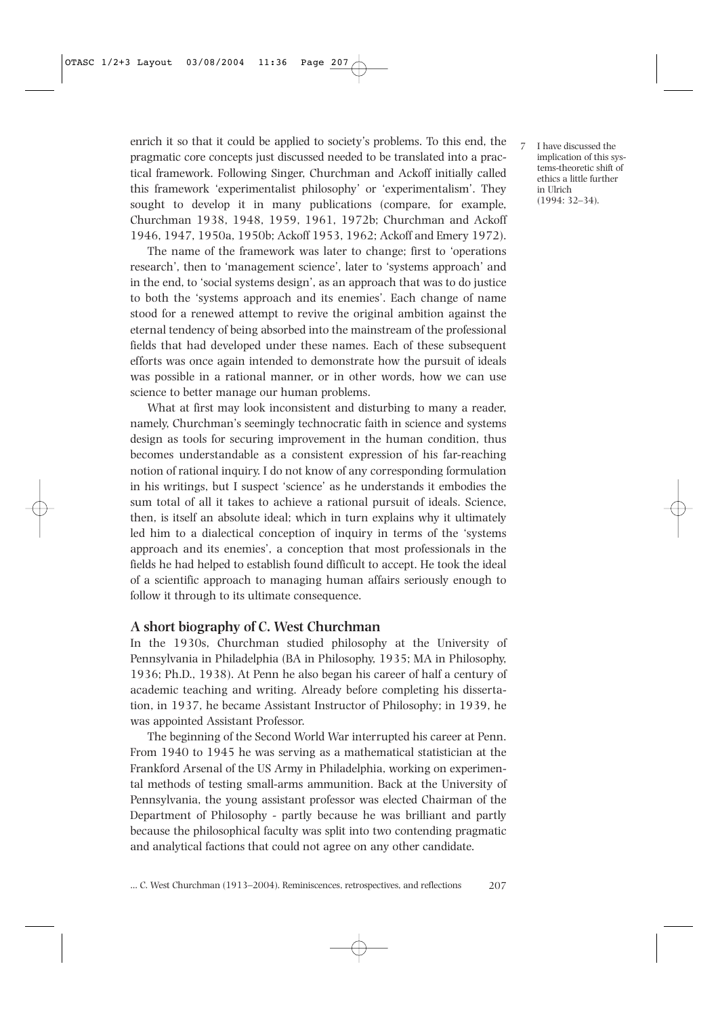enrich it so that it could be applied to society's problems. To this end, the pragmatic core concepts just discussed needed to be translated into a practical framework. Following Singer, Churchman and Ackoff initially called this framework 'experimentalist philosophy' or 'experimentalism'. They sought to develop it in many publications (compare, for example, Churchman 1938, 1948, 1959, 1961, 1972b; Churchman and Ackoff 1946, 1947, 1950a, 1950b; Ackoff 1953, 1962; Ackoff and Emery 1972).

The name of the framework was later to change; first to 'operations research', then to 'management science', later to 'systems approach' and in the end, to 'social systems design', as an approach that was to do justice to both the 'systems approach and its enemies'. Each change of name stood for a renewed attempt to revive the original ambition against the eternal tendency of being absorbed into the mainstream of the professional fields that had developed under these names. Each of these subsequent efforts was once again intended to demonstrate how the pursuit of ideals was possible in a rational manner, or in other words, how we can use science to better manage our human problems.

What at first may look inconsistent and disturbing to many a reader, namely, Churchman's seemingly technocratic faith in science and systems design as tools for securing improvement in the human condition, thus becomes understandable as a consistent expression of his far-reaching notion of rational inquiry. I do not know of any corresponding formulation in his writings, but I suspect 'science' as he understands it embodies the sum total of all it takes to achieve a rational pursuit of ideals. Science, then, is itself an absolute ideal; which in turn explains why it ultimately led him to a dialectical conception of inquiry in terms of the 'systems approach and its enemies', a conception that most professionals in the fields he had helped to establish found difficult to accept. He took the ideal of a scientific approach to managing human affairs seriously enough to follow it through to its ultimate consequence.

#### **A short biography of C. West Churchman**

In the 1930s, Churchman studied philosophy at the University of Pennsylvania in Philadelphia (BA in Philosophy, 1935; MA in Philosophy, 1936; Ph.D., 1938). At Penn he also began his career of half a century of academic teaching and writing. Already before completing his dissertation, in 1937, he became Assistant Instructor of Philosophy; in 1939, he was appointed Assistant Professor.

The beginning of the Second World War interrupted his career at Penn. From 1940 to 1945 he was serving as a mathematical statistician at the Frankford Arsenal of the US Army in Philadelphia, working on experimental methods of testing small-arms ammunition. Back at the University of Pennsylvania, the young assistant professor was elected Chairman of the Department of Philosophy - partly because he was brilliant and partly because the philosophical faculty was split into two contending pragmatic and analytical factions that could not agree on any other candidate.

... C. West Churchman (1913–2004). Reminiscences, retrospectives, and reflections 207

7 I have discussed the implication of this systems-theoretic shift of ethics a little further in Ulrich (1994: 32–34).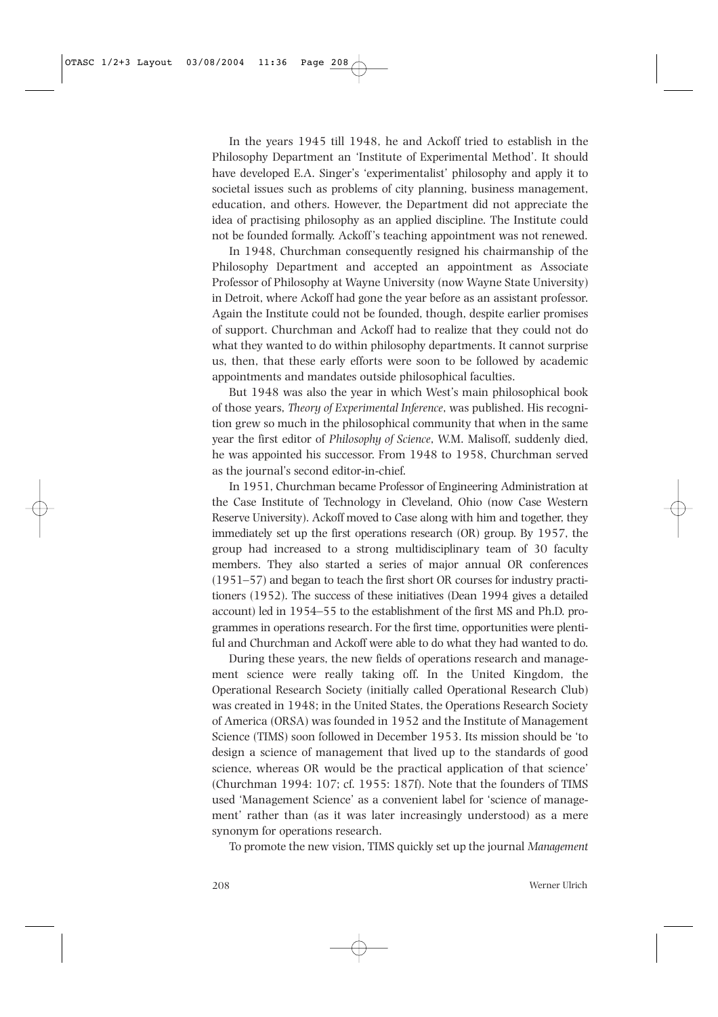In the years 1945 till 1948, he and Ackoff tried to establish in the Philosophy Department an 'Institute of Experimental Method'. It should have developed E.A. Singer's 'experimentalist' philosophy and apply it to societal issues such as problems of city planning, business management, education, and others. However, the Department did not appreciate the idea of practising philosophy as an applied discipline. The Institute could not be founded formally. Ackoff's teaching appointment was not renewed.

In 1948, Churchman consequently resigned his chairmanship of the Philosophy Department and accepted an appointment as Associate Professor of Philosophy at Wayne University (now Wayne State University) in Detroit, where Ackoff had gone the year before as an assistant professor. Again the Institute could not be founded, though, despite earlier promises of support. Churchman and Ackoff had to realize that they could not do what they wanted to do within philosophy departments. It cannot surprise us, then, that these early efforts were soon to be followed by academic appointments and mandates outside philosophical faculties.

But 1948 was also the year in which West's main philosophical book of those years, *Theory of Experimental Inference*, was published. His recognition grew so much in the philosophical community that when in the same year the first editor of *Philosophy of Science*, W.M. Malisoff, suddenly died, he was appointed his successor. From 1948 to 1958, Churchman served as the journal's second editor-in-chief.

In 1951, Churchman became Professor of Engineering Administration at the Case Institute of Technology in Cleveland, Ohio (now Case Western Reserve University). Ackoff moved to Case along with him and together, they immediately set up the first operations research (OR) group. By 1957, the group had increased to a strong multidisciplinary team of 30 faculty members. They also started a series of major annual OR conferences (1951–57) and began to teach the first short OR courses for industry practitioners (1952). The success of these initiatives (Dean 1994 gives a detailed account) led in 1954–55 to the establishment of the first MS and Ph.D. programmes in operations research. For the first time, opportunities were plentiful and Churchman and Ackoff were able to do what they had wanted to do.

During these years, the new fields of operations research and management science were really taking off. In the United Kingdom, the Operational Research Society (initially called Operational Research Club) was created in 1948; in the United States, the Operations Research Society of America (ORSA) was founded in 1952 and the Institute of Management Science (TIMS) soon followed in December 1953. Its mission should be 'to design a science of management that lived up to the standards of good science, whereas OR would be the practical application of that science' (Churchman 1994: 107; cf. 1955: 187f). Note that the founders of TIMS used 'Management Science' as a convenient label for 'science of management' rather than (as it was later increasingly understood) as a mere synonym for operations research.

To promote the new vision, TIMS quickly set up the journal *Management*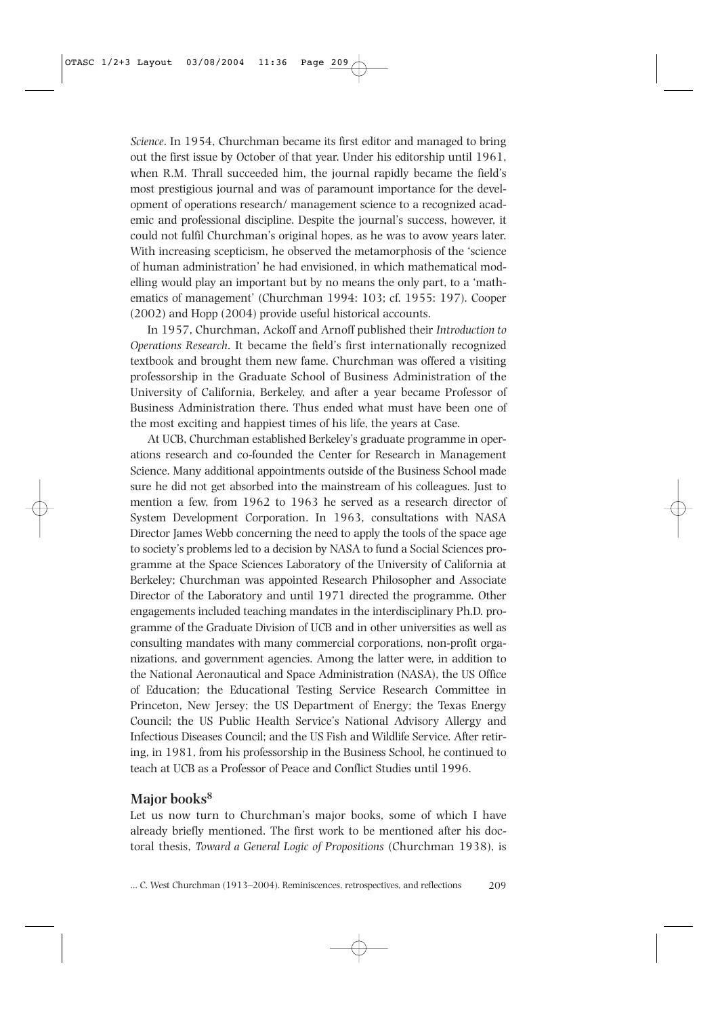*Science*. In 1954, Churchman became its first editor and managed to bring out the first issue by October of that year. Under his editorship until 1961, when R.M. Thrall succeeded him, the journal rapidly became the field's most prestigious journal and was of paramount importance for the development of operations research/ management science to a recognized academic and professional discipline. Despite the journal's success, however, it could not fulfil Churchman's original hopes, as he was to avow years later. With increasing scepticism, he observed the metamorphosis of the 'science of human administration' he had envisioned, in which mathematical modelling would play an important but by no means the only part, to a 'mathematics of management' (Churchman 1994: 103; cf. 1955: 197). Cooper (2002) and Hopp (2004) provide useful historical accounts.

In 1957, Churchman, Ackoff and Arnoff published their *Introduction to Operations Research*. It became the field's first internationally recognized textbook and brought them new fame. Churchman was offered a visiting professorship in the Graduate School of Business Administration of the University of California, Berkeley, and after a year became Professor of Business Administration there. Thus ended what must have been one of the most exciting and happiest times of his life, the years at Case.

At UCB, Churchman established Berkeley's graduate programme in operations research and co-founded the Center for Research in Management Science. Many additional appointments outside of the Business School made sure he did not get absorbed into the mainstream of his colleagues. Just to mention a few, from 1962 to 1963 he served as a research director of System Development Corporation. In 1963, consultations with NASA Director James Webb concerning the need to apply the tools of the space age to society's problems led to a decision by NASA to fund a Social Sciences programme at the Space Sciences Laboratory of the University of California at Berkeley; Churchman was appointed Research Philosopher and Associate Director of the Laboratory and until 1971 directed the programme. Other engagements included teaching mandates in the interdisciplinary Ph.D. programme of the Graduate Division of UCB and in other universities as well as consulting mandates with many commercial corporations, non-profit organizations, and government agencies. Among the latter were, in addition to the National Aeronautical and Space Administration (NASA), the US Office of Education; the Educational Testing Service Research Committee in Princeton, New Jersey; the US Department of Energy; the Texas Energy Council; the US Public Health Service's National Advisory Allergy and Infectious Diseases Council; and the US Fish and Wildlife Service. After retiring, in 1981, from his professorship in the Business School, he continued to teach at UCB as a Professor of Peace and Conflict Studies until 1996.

#### Major books<sup>8</sup>

Let us now turn to Churchman's major books, some of which I have already briefly mentioned. The first work to be mentioned after his doctoral thesis, *Toward a General Logic of Propositions* (Churchman 1938), is

... C. West Churchman (1913–2004). Reminiscences, retrospectives, and reflections 209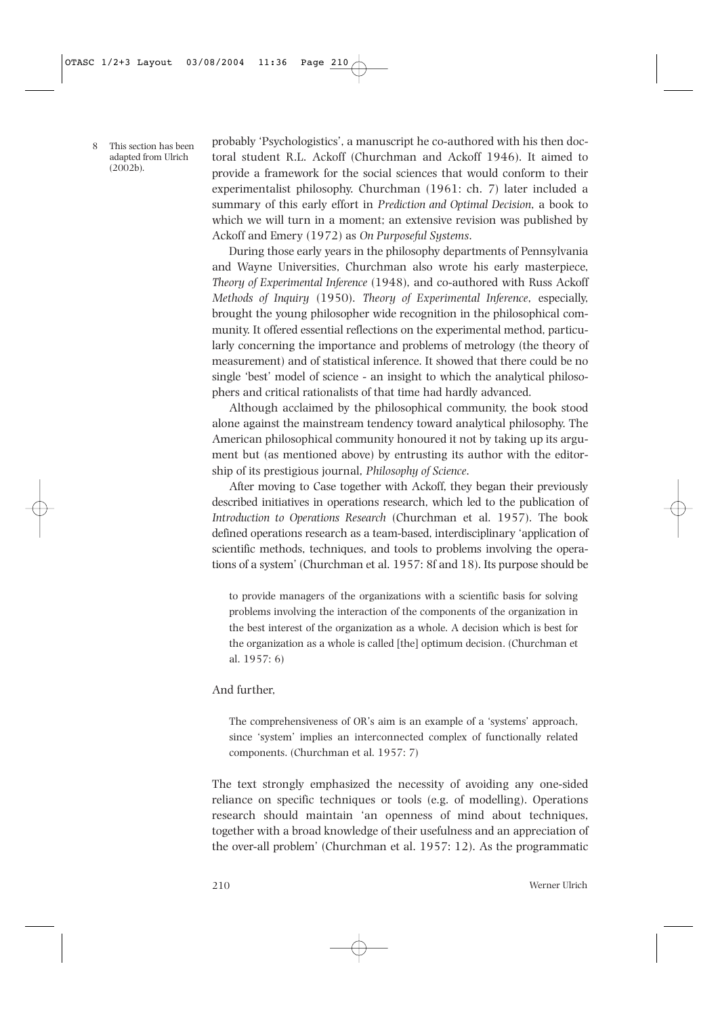8 This section has been adapted from Ulrich (2002b).

probably 'Psychologistics', a manuscript he co-authored with his then doctoral student R.L. Ackoff (Churchman and Ackoff 1946). It aimed to provide a framework for the social sciences that would conform to their experimentalist philosophy. Churchman (1961: ch. 7) later included a summary of this early effort in *Prediction and Optimal Decision*, a book to which we will turn in a moment; an extensive revision was published by Ackoff and Emery (1972) as *On Purposeful Systems*.

During those early years in the philosophy departments of Pennsylvania and Wayne Universities, Churchman also wrote his early masterpiece, *Theory of Experimental Inference* (1948), and co-authored with Russ Ackoff *Methods of Inquiry* (1950). *Theory of Experimental Inference*, especially, brought the young philosopher wide recognition in the philosophical community. It offered essential reflections on the experimental method, particularly concerning the importance and problems of metrology (the theory of measurement) and of statistical inference. It showed that there could be no single 'best' model of science - an insight to which the analytical philosophers and critical rationalists of that time had hardly advanced.

Although acclaimed by the philosophical community, the book stood alone against the mainstream tendency toward analytical philosophy. The American philosophical community honoured it not by taking up its argument but (as mentioned above) by entrusting its author with the editorship of its prestigious journal, *Philosophy of Science*.

After moving to Case together with Ackoff, they began their previously described initiatives in operations research, which led to the publication of *Introduction to Operations Research* (Churchman et al. 1957). The book defined operations research as a team-based, interdisciplinary 'application of scientific methods, techniques, and tools to problems involving the operations of a system' (Churchman et al. 1957: 8f and 18). Its purpose should be

to provide managers of the organizations with a scientific basis for solving problems involving the interaction of the components of the organization in the best interest of the organization as a whole. A decision which is best for the organization as a whole is called [the] optimum decision. (Churchman et al. 1957: 6)

#### And further,

The comprehensiveness of OR's aim is an example of a 'systems' approach, since 'system' implies an interconnected complex of functionally related components. (Churchman et al. 1957: 7)

The text strongly emphasized the necessity of avoiding any one-sided reliance on specific techniques or tools (e.g. of modelling). Operations research should maintain 'an openness of mind about techniques, together with a broad knowledge of their usefulness and an appreciation of the over-all problem' (Churchman et al. 1957: 12). As the programmatic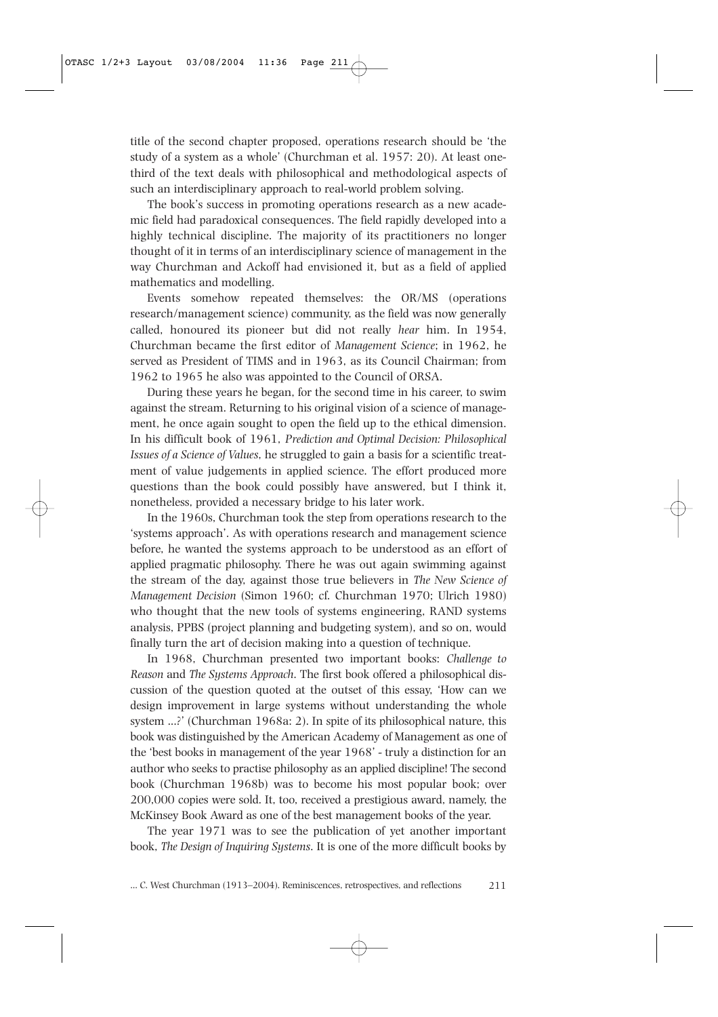title of the second chapter proposed, operations research should be 'the study of a system as a whole' (Churchman et al. 1957: 20). At least onethird of the text deals with philosophical and methodological aspects of such an interdisciplinary approach to real-world problem solving.

The book's success in promoting operations research as a new academic field had paradoxical consequences. The field rapidly developed into a highly technical discipline. The majority of its practitioners no longer thought of it in terms of an interdisciplinary science of management in the way Churchman and Ackoff had envisioned it, but as a field of applied mathematics and modelling.

Events somehow repeated themselves: the OR/MS (operations research/management science) community, as the field was now generally called, honoured its pioneer but did not really *hear* him. In 1954, Churchman became the first editor of *Management Science*; in 1962, he served as President of TIMS and in 1963, as its Council Chairman; from 1962 to 1965 he also was appointed to the Council of ORSA.

During these years he began, for the second time in his career, to swim against the stream. Returning to his original vision of a science of management, he once again sought to open the field up to the ethical dimension. In his difficult book of 1961, *Prediction and Optimal Decision: Philosophical Issues of a Science of Values*, he struggled to gain a basis for a scientific treatment of value judgements in applied science. The effort produced more questions than the book could possibly have answered, but I think it, nonetheless, provided a necessary bridge to his later work.

In the 1960s, Churchman took the step from operations research to the 'systems approach'. As with operations research and management science before, he wanted the systems approach to be understood as an effort of applied pragmatic philosophy. There he was out again swimming against the stream of the day, against those true believers in *The New Science of Management Decision* (Simon 1960; cf. Churchman 1970; Ulrich 1980) who thought that the new tools of systems engineering, RAND systems analysis, PPBS (project planning and budgeting system), and so on, would finally turn the art of decision making into a question of technique.

In 1968, Churchman presented two important books: *Challenge to Reason* and *The Systems Approach*. The first book offered a philosophical discussion of the question quoted at the outset of this essay, 'How can we design improvement in large systems without understanding the whole system ...?' (Churchman 1968a: 2). In spite of its philosophical nature, this book was distinguished by the American Academy of Management as one of the 'best books in management of the year 1968' - truly a distinction for an author who seeks to practise philosophy as an applied discipline! The second book (Churchman 1968b) was to become his most popular book; over 200,000 copies were sold. It, too, received a prestigious award, namely, the McKinsey Book Award as one of the best management books of the year.

The year 1971 was to see the publication of yet another important book, *The Design of Inquiring Systems*. It is one of the more difficult books by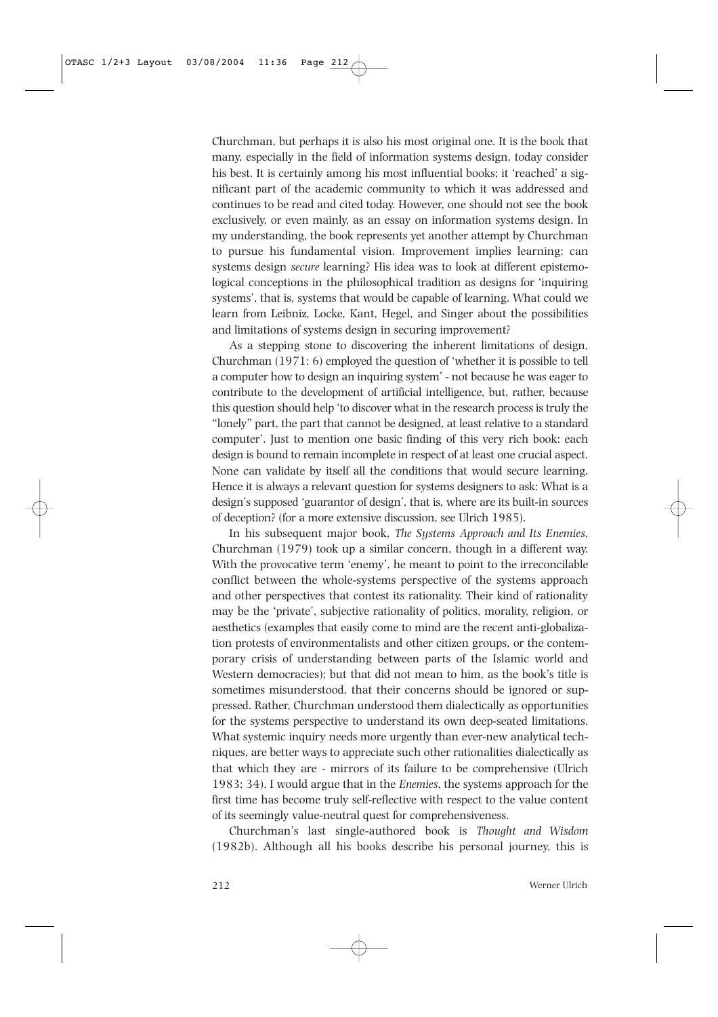Churchman, but perhaps it is also his most original one. It is the book that many, especially in the field of information systems design, today consider his best. It is certainly among his most influential books; it 'reached' a significant part of the academic community to which it was addressed and continues to be read and cited today. However, one should not see the book exclusively, or even mainly, as an essay on information systems design. In my understanding, the book represents yet another attempt by Churchman to pursue his fundamental vision. Improvement implies learning; can systems design *secure* learning? His idea was to look at different epistemological conceptions in the philosophical tradition as designs for 'inquiring systems', that is, systems that would be capable of learning. What could we learn from Leibniz, Locke, Kant, Hegel, and Singer about the possibilities and limitations of systems design in securing improvement?

As a stepping stone to discovering the inherent limitations of design, Churchman (1971: 6) employed the question of 'whether it is possible to tell a computer how to design an inquiring system' - not because he was eager to contribute to the development of artificial intelligence, but, rather, because this question should help 'to discover what in the research process is truly the "lonely" part, the part that cannot be designed, at least relative to a standard computer'. Just to mention one basic finding of this very rich book: each design is bound to remain incomplete in respect of at least one crucial aspect. None can validate by itself all the conditions that would secure learning. Hence it is always a relevant question for systems designers to ask: What is a design's supposed 'guarantor of design', that is, where are its built-in sources of deception? (for a more extensive discussion, see Ulrich 1985).

In his subsequent major book, *The Systems Approach and Its Enemies*, Churchman (1979) took up a similar concern, though in a different way. With the provocative term 'enemy', he meant to point to the irreconcilable conflict between the whole-systems perspective of the systems approach and other perspectives that contest its rationality. Their kind of rationality may be the 'private', subjective rationality of politics, morality, religion, or aesthetics (examples that easily come to mind are the recent anti-globalization protests of environmentalists and other citizen groups, or the contemporary crisis of understanding between parts of the Islamic world and Western democracies); but that did not mean to him, as the book's title is sometimes misunderstood, that their concerns should be ignored or suppressed. Rather, Churchman understood them dialectically as opportunities for the systems perspective to understand its own deep-seated limitations. What systemic inquiry needs more urgently than ever-new analytical techniques, are better ways to appreciate such other rationalities dialectically as that which they are - mirrors of its failure to be comprehensive (Ulrich 1983: 34). I would argue that in the *Enemies*, the systems approach for the first time has become truly self-reflective with respect to the value content of its seemingly value-neutral quest for comprehensiveness.

Churchman's last single-authored book is *Thought and Wisdom* (1982b). Although all his books describe his personal journey, this is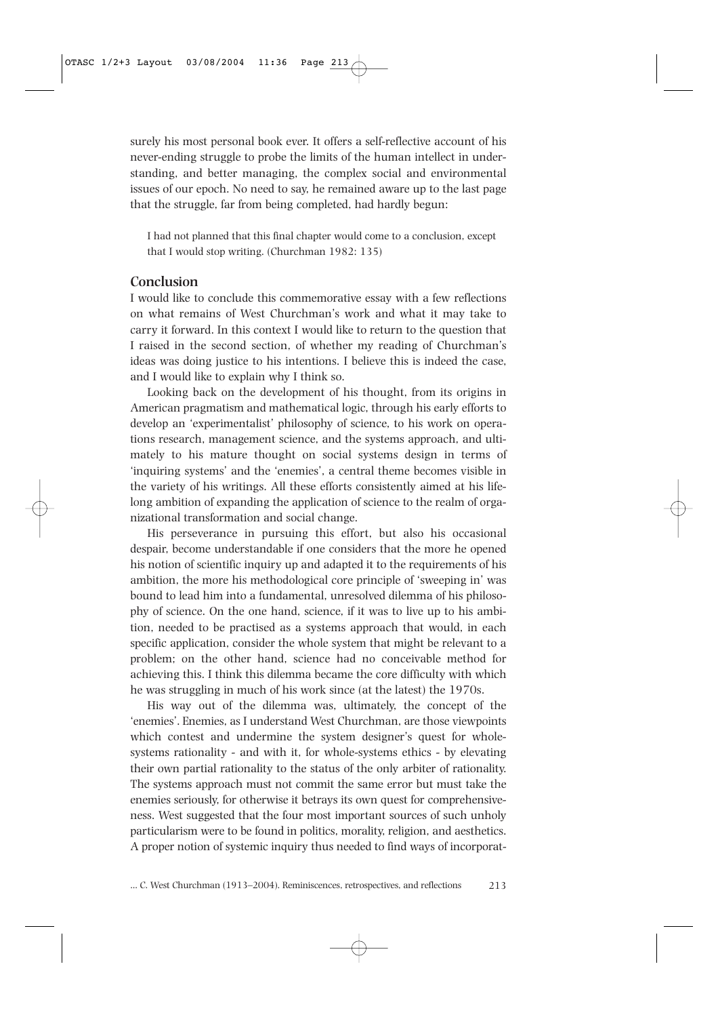surely his most personal book ever. It offers a self-reflective account of his never-ending struggle to probe the limits of the human intellect in understanding, and better managing, the complex social and environmental issues of our epoch. No need to say, he remained aware up to the last page that the struggle, far from being completed, had hardly begun:

I had not planned that this final chapter would come to a conclusion, except that I would stop writing. (Churchman 1982: 135)

#### **Conclusion**

I would like to conclude this commemorative essay with a few reflections on what remains of West Churchman's work and what it may take to carry it forward. In this context I would like to return to the question that I raised in the second section, of whether my reading of Churchman's ideas was doing justice to his intentions. I believe this is indeed the case, and I would like to explain why I think so.

Looking back on the development of his thought, from its origins in American pragmatism and mathematical logic, through his early efforts to develop an 'experimentalist' philosophy of science, to his work on operations research, management science, and the systems approach, and ultimately to his mature thought on social systems design in terms of 'inquiring systems' and the 'enemies', a central theme becomes visible in the variety of his writings. All these efforts consistently aimed at his lifelong ambition of expanding the application of science to the realm of organizational transformation and social change.

His perseverance in pursuing this effort, but also his occasional despair, become understandable if one considers that the more he opened his notion of scientific inquiry up and adapted it to the requirements of his ambition, the more his methodological core principle of 'sweeping in' was bound to lead him into a fundamental, unresolved dilemma of his philosophy of science. On the one hand, science, if it was to live up to his ambition, needed to be practised as a systems approach that would, in each specific application, consider the whole system that might be relevant to a problem; on the other hand, science had no conceivable method for achieving this. I think this dilemma became the core difficulty with which he was struggling in much of his work since (at the latest) the 1970s.

His way out of the dilemma was, ultimately, the concept of the 'enemies'. Enemies, as I understand West Churchman, are those viewpoints which contest and undermine the system designer's quest for wholesystems rationality - and with it, for whole-systems ethics - by elevating their own partial rationality to the status of the only arbiter of rationality. The systems approach must not commit the same error but must take the enemies seriously, for otherwise it betrays its own quest for comprehensiveness. West suggested that the four most important sources of such unholy particularism were to be found in politics, morality, religion, and aesthetics. A proper notion of systemic inquiry thus needed to find ways of incorporat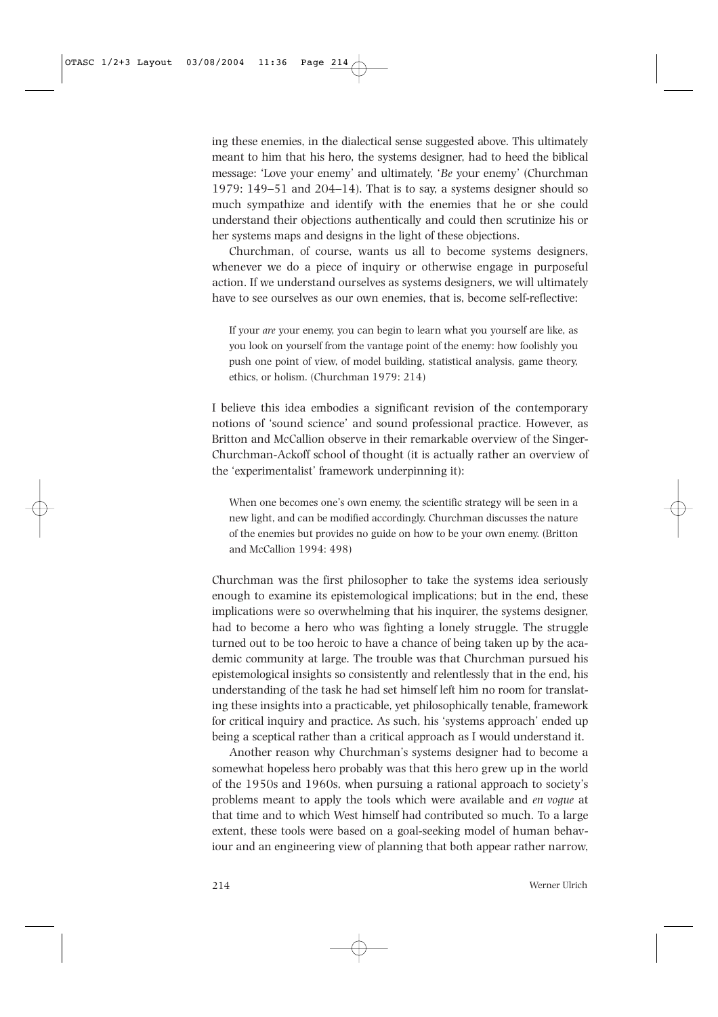ing these enemies, in the dialectical sense suggested above. This ultimately meant to him that his hero, the systems designer, had to heed the biblical message: 'Love your enemy' and ultimately, '*Be* your enemy' (Churchman 1979: 149–51 and 204–14). That is to say, a systems designer should so much sympathize and identify with the enemies that he or she could understand their objections authentically and could then scrutinize his or her systems maps and designs in the light of these objections.

Churchman, of course, wants us all to become systems designers, whenever we do a piece of inquiry or otherwise engage in purposeful action. If we understand ourselves as systems designers, we will ultimately have to see ourselves as our own enemies, that is, become self-reflective:

If your *are* your enemy, you can begin to learn what you yourself are like, as you look on yourself from the vantage point of the enemy: how foolishly you push one point of view, of model building, statistical analysis, game theory, ethics, or holism. (Churchman 1979: 214)

I believe this idea embodies a significant revision of the contemporary notions of 'sound science' and sound professional practice. However, as Britton and McCallion observe in their remarkable overview of the Singer-Churchman-Ackoff school of thought (it is actually rather an overview of the 'experimentalist' framework underpinning it):

When one becomes one's own enemy, the scientific strategy will be seen in a new light, and can be modified accordingly. Churchman discusses the nature of the enemies but provides no guide on how to be your own enemy. (Britton and McCallion 1994: 498)

Churchman was the first philosopher to take the systems idea seriously enough to examine its epistemological implications; but in the end, these implications were so overwhelming that his inquirer, the systems designer, had to become a hero who was fighting a lonely struggle. The struggle turned out to be too heroic to have a chance of being taken up by the academic community at large. The trouble was that Churchman pursued his epistemological insights so consistently and relentlessly that in the end, his understanding of the task he had set himself left him no room for translating these insights into a practicable, yet philosophically tenable, framework for critical inquiry and practice. As such, his 'systems approach' ended up being a sceptical rather than a critical approach as I would understand it.

Another reason why Churchman's systems designer had to become a somewhat hopeless hero probably was that this hero grew up in the world of the 1950s and 1960s, when pursuing a rational approach to society's problems meant to apply the tools which were available and *en vogue* at that time and to which West himself had contributed so much. To a large extent, these tools were based on a goal-seeking model of human behaviour and an engineering view of planning that both appear rather narrow,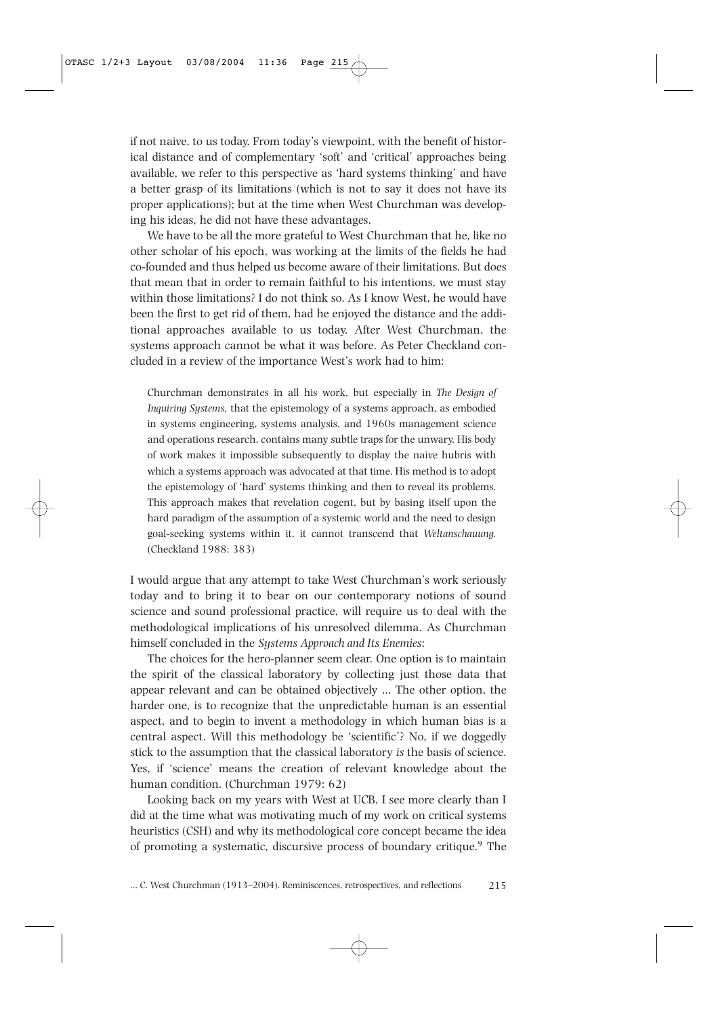if not naive, to us today. From today's viewpoint, with the benefit of historical distance and of complementary 'soft' and 'critical' approaches being available, we refer to this perspective as 'hard systems thinking' and have a better grasp of its limitations (which is not to say it does not have its proper applications); but at the time when West Churchman was developing his ideas, he did not have these advantages.

We have to be all the more grateful to West Churchman that he, like no other scholar of his epoch, was working at the limits of the fields he had co-founded and thus helped us become aware of their limitations. But does that mean that in order to remain faithful to his intentions, we must stay within those limitations? I do not think so. As I know West, he would have been the first to get rid of them, had he enjoyed the distance and the additional approaches available to us today. After West Churchman, the systems approach cannot be what it was before. As Peter Checkland concluded in a review of the importance West's work had to him:

Churchman demonstrates in all his work, but especially in *The Design of Inquiring Systems,* that the epistemology of a systems approach, as embodied in systems engineering, systems analysis, and 1960s management science and operations research, contains many subtle traps for the unwary. His body of work makes it impossible subsequently to display the naive hubris with which a systems approach was advocated at that time. His method is to adopt the epistemology of 'hard' systems thinking and then to reveal its problems. This approach makes that revelation cogent, but by basing itself upon the hard paradigm of the assumption of a systemic world and the need to design goal-seeking systems within it, it cannot transcend that *Weltanschauung.* (Checkland 1988: 383)

I would argue that any attempt to take West Churchman's work seriously today and to bring it to bear on our contemporary notions of sound science and sound professional practice, will require us to deal with the methodological implications of his unresolved dilemma. As Churchman himself concluded in the *Systems Approach and Its Enemies*:

The choices for the hero-planner seem clear. One option is to maintain the spirit of the classical laboratory by collecting just those data that appear relevant and can be obtained objectively ... The other option, the harder one, is to recognize that the unpredictable human is an essential aspect, and to begin to invent a methodology in which human bias is a central aspect. Will this methodology be 'scientific'? No, if we doggedly stick to the assumption that the classical laboratory *is* the basis of science. Yes, if 'science' means the creation of relevant knowledge about the human condition. (Churchman 1979: 62)

Looking back on my years with West at UCB, I see more clearly than I did at the time what was motivating much of my work on critical systems heuristics (CSH) and why its methodological core concept became the idea of promoting a systematic, discursive process of boundary critique.9 The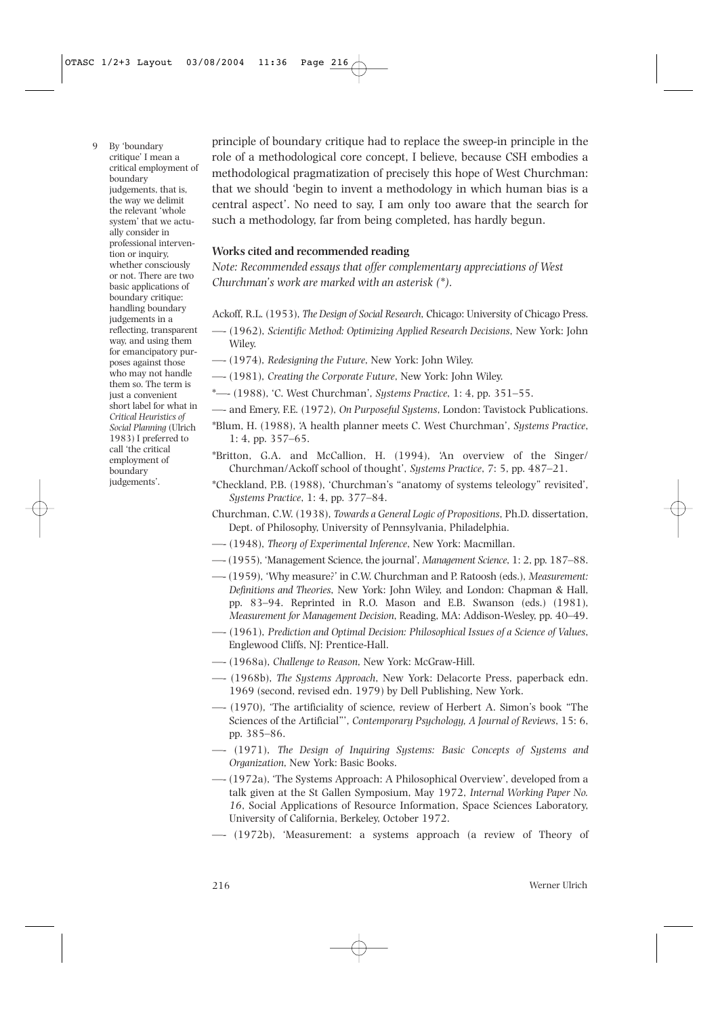By 'boundary critique' I mean a critical employment of boundary judgements, that is, the way we delimit the relevant 'whole system' that we actually consider in professional intervention or inquiry, whether consciously or not. There are two basic applications of boundary critique: handling boundary judgements in a reflecting, transparent way, and using them for emancipatory purposes against those who may not handle them so. The term is just a convenient short label for what in *Critical Heuristics of Social Planning* (Ulrich 1983) I preferred to call 'the critical employment of boundary judgements'.

principle of boundary critique had to replace the sweep-in principle in the role of a methodological core concept, I believe, because CSH embodies a methodological pragmatization of precisely this hope of West Churchman: that we should 'begin to invent a methodology in which human bias is a central aspect'. No need to say, I am only too aware that the search for such a methodology, far from being completed, has hardly begun.

#### **Works cited and recommended reading**

*Note: Recommended essays that offer complementary appreciations of West Churchman's work are marked with an asterisk (\*).*

Ackoff, R.L. (1953), *The Design of Social Research*, Chicago: University of Chicago Press. —- (1962), *Scientific Method: Optimizing Applied Research Decisions*, New York: John Wiley.

—- (1974), *Redesigning the Future*, New York: John Wiley.

—- (1981), *Creating the Corporate Future*, New York: John Wiley.

\*—- (1988), 'C. West Churchman', *Systems Practice*, 1: 4, pp. 351–55.

- —- and Emery, F.E. (1972), *On Purposeful Systems*, London: Tavistock Publications.
- \*Blum, H. (1988), 'A health planner meets C. West Churchman', *Systems Practice*, 1: 4, pp. 357–65.
- \*Britton, G.A. and McCallion, H. (1994), 'An overview of the Singer/ Churchman/Ackoff school of thought', *Systems Practice*, 7: 5, pp. 487–21.
- \*Checkland, P.B. (1988), 'Churchman's "anatomy of systems teleology" revisited', *Systems Practice*, 1: 4, pp. 377–84.
- Churchman, C.W. (1938), *Towards a General Logic of Propositions*, Ph.D. dissertation, Dept. of Philosophy, University of Pennsylvania, Philadelphia.
- —- (1948), *Theory of Experimental Inference*, New York: Macmillan.
- —- (1955), 'Management Science, the journal', *Management Science*, 1: 2, pp. 187–88.
- —- (1959), 'Why measure?' in C.W. Churchman and P. Ratoosh (eds.), *Measurement: Definitions and Theories*, New York: John Wiley, and London: Chapman & Hall, pp. 83–94. Reprinted in R.O. Mason and E.B. Swanson (eds.) (1981), *Measurement for Management Decision*, Reading, MA: Addison-Wesley, pp. 40–49.
- —- (1961), *Prediction and Optimal Decision: Philosophical Issues of a Science of Values*, Englewood Cliffs, NJ: Prentice-Hall.
- —- (1968a), *Challenge to Reason*, New York: McGraw-Hill.
- —- (1968b), *The Systems Approach*, New York: Delacorte Press, paperback edn. 1969 (second, revised edn. 1979) by Dell Publishing, New York.
- —- (1970), 'The artificiality of science, review of Herbert A. Simon's book "The Sciences of the Artificial"', *Contemporary Psychology, A Journal of Reviews*, 15: 6, pp. 385–86.
- —- (1971), *The Design of Inquiring Systems: Basic Concepts of Systems and Organization*, New York: Basic Books.
- —- (1972a), 'The Systems Approach: A Philosophical Overview', developed from a talk given at the St Gallen Symposium, May 1972, *Internal Working Paper No. 16*, Social Applications of Resource Information, Space Sciences Laboratory, University of California, Berkeley, October 1972.
- —- (1972b), 'Measurement: a systems approach (a review of Theory of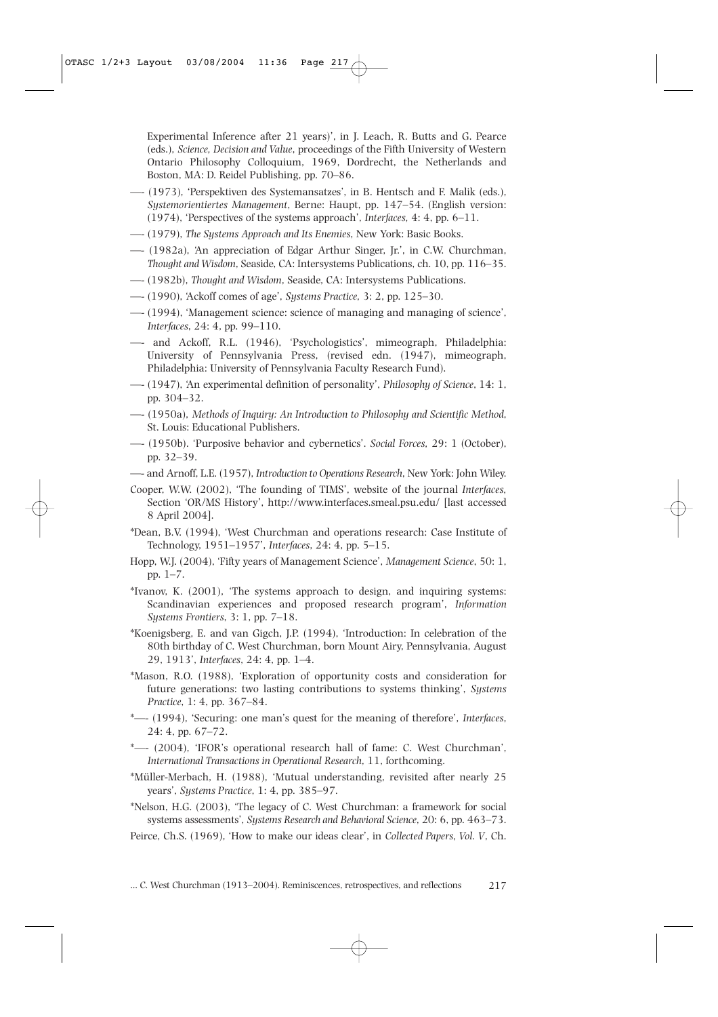Experimental Inference after 21 years)', in J. Leach, R. Butts and G. Pearce (eds.), *Science, Decision and Value*, proceedings of the Fifth University of Western Ontario Philosophy Colloquium, 1969, Dordrecht, the Netherlands and Boston, MA: D. Reidel Publishing, pp. 70–86.

- —- (1973), 'Perspektiven des Systemansatzes', in B. Hentsch and F. Malik (eds.), *Systemorientiertes Management*, Berne: Haupt, pp. 147–54. (English version: (1974), 'Perspectives of the systems approach', *Interfaces,* 4: 4, pp. 6–11.
- —- (1979), *The Systems Approach and Its Enemies*, New York: Basic Books.
- —- (1982a), 'An appreciation of Edgar Arthur Singer, Jr.', in C.W. Churchman, *Thought and Wisdom*, Seaside, CA: Intersystems Publications, ch. 10, pp. 116–35.
- —- (1982b), *Thought and Wisdom*, Seaside, CA: Intersystems Publications.
- —- (1990), 'Ackoff comes of age', *Systems Practice,* 3: 2, pp. 125–30.
- —- (1994), 'Management science: science of managing and managing of science', *Interfaces*, 24: 4, pp. 99–110.
- —- and Ackoff, R.L. (1946), 'Psychologistics', mimeograph, Philadelphia: University of Pennsylvania Press, (revised edn. (1947), mimeograph, Philadelphia: University of Pennsylvania Faculty Research Fund).
- —- (1947), 'An experimental definition of personality', *Philosophy of Science*, 14: 1, pp. 304–32.
- —- (1950a), *Methods of Inquiry: An Introduction to Philosophy and Scientific Method*, St. Louis: Educational Publishers.
- —- (1950b). 'Purposive behavior and cybernetics'. *Social Forces,* 29: 1 (October), pp. 32–39.
- —- and Arnoff, L.E. (1957), *Introduction to Operations Research*, New York: John Wiley.
- Cooper, W.W. (2002), 'The founding of TIMS', website of the journal *Interfaces,* Section 'OR/MS History', http://www.interfaces.smeal.psu.edu/ [last accessed 8 April 2004].
- \*Dean, B.V. (1994), 'West Churchman and operations research: Case Institute of Technology, 1951–1957', *Interfaces*, 24: 4, pp. 5–15.
- Hopp, W.J. (2004), 'Fifty years of Management Science', *Management Science*, 50: 1, pp. 1–7.
- \*Ivanov, K. (2001), 'The systems approach to design, and inquiring systems: Scandinavian experiences and proposed research program', *Information Systems Frontiers*, 3: 1, pp. 7–18.
- \*Koenigsberg, E. and van Gigch, J.P. (1994), 'Introduction: In celebration of the 80th birthday of C. West Churchman, born Mount Airy, Pennsylvania, August 29, 1913', *Interfaces*, 24: 4, pp. 1–4.
- \*Mason, R.O. (1988), 'Exploration of opportunity costs and consideration for future generations: two lasting contributions to systems thinking', *Systems Practice*, 1: 4, pp. 367–84.
- $-$  (1994), 'Securing: one man's quest for the meaning of therefore', *Interfaces*, 24: 4, pp. 67–72.
- \*—- (2004), 'IFOR's operational research hall of fame: C. West Churchman', *International Transactions in Operational Research*, 11, forthcoming.
- \*Müller-Merbach, H. (1988), 'Mutual understanding, revisited after nearly 25 years', *Systems Practice*, 1: 4, pp. 385–97.
- \*Nelson, H.G. (2003), 'The legacy of C. West Churchman: a framework for social systems assessments', *Systems Research and Behavioral Science*, 20: 6, pp. 463–73.
- Peirce, Ch.S. (1969), 'How to make our ideas clear', in *Collected Papers, Vol. V*, Ch.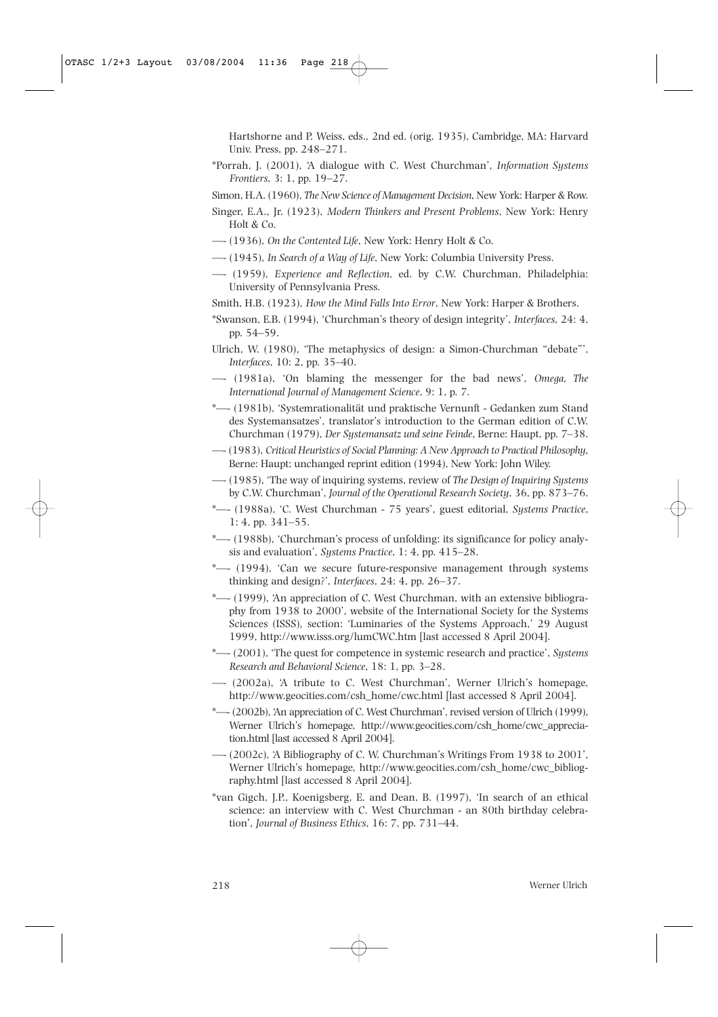Hartshorne and P. Weiss, eds., 2nd ed. (orig. 1935), Cambridge, MA: Harvard Univ. Press, pp. 248–271.

- \*Porrah, J. (2001), 'A dialogue with C. West Churchman', *Information Systems Frontiers*, 3: 1, pp. 19–27.
- Simon, H.A. (1960), *The New Science of Management Decision*, New York: Harper & Row.
- Singer, E.A., Jr. (1923), *Modern Thinkers and Present Problems*, New York: Henry Holt & Co.
- —- (1936), *On the Contented Life*, New York: Henry Holt & Co.
- —- (1945), *In Search of a Way of Life*, New York: Columbia University Press.
- —- (1959), *Experience and Reflection*, ed. by C.W. Churchman, Philadelphia: University of Pennsylvania Press.
- Smith, H.B. (1923), *How the Mind Falls Into Error*, New York: Harper & Brothers.
- \*Swanson, E.B. (1994), 'Churchman's theory of design integrity', *Interfaces*, 24: 4, pp. 54–59.
- Ulrich, W. (1980), 'The metaphysics of design: a Simon-Churchman "debate"', *Interfaces*, 10: 2, pp. 35–40.
- —- (1981a), 'On blaming the messenger for the bad news', *Omega, The International Journal of Management Science*, 9: 1, p. 7.
- \*—- (1981b), 'Systemrationalität und praktische Vernunft Gedanken zum Stand des Systemansatzes', translator's introduction to the German edition of C.W. Churchman (1979), *Der Systemansatz und seine Feinde*, Berne: Haupt, pp. 7–38.
- —- (1983), *Critical Heuristics of Social Planning: A New Approach to Practical Philosophy*, Berne: Haupt; unchanged reprint edition (1994), New York: John Wiley.
- —- (1985), 'The way of inquiring systems, review of *The Design of Inquiring Systems* by C.W. Churchman', *Journal of the Operational Research Society*, 36, pp. 873–76.
- \*—- (1988a), 'C. West Churchman 75 years', guest editorial, *Systems Practice*, 1: 4, pp. 341–55.
- \*—- (1988b), 'Churchman's process of unfolding: its significance for policy analysis and evaluation', *Systems Practice*, 1: 4, pp. 415–28.
- $-(1994)$ , 'Can we secure future-responsive management through systems thinking and design?', *Interfaces*, 24: 4, pp. 26–37.
- \*—- (1999), 'An appreciation of C. West Churchman, with an extensive bibliography from 1938 to 2000', website of the International Society for the Systems Sciences (ISSS)*,* section: 'Luminaries of the Systems Approach,' 29 August 1999, http://www.isss.org/lumCWC.htm [last accessed 8 April 2004].
- \*—- (2001), 'The quest for competence in systemic research and practice', *Systems Research and Behavioral Science*, 18: 1, pp. 3–28.
- —- (2002a), 'A tribute to C. West Churchman', Werner Ulrich's homepage, http://www.geocities.com/csh\_home/cwc.html [last accessed 8 April 2004].
- $-$  (2002b), 'An appreciation of C. West Churchman', revised version of Ulrich (1999), Werner Ulrich's homepage, http://www.geocities.com/csh\_home/cwc\_appreciation.html [last accessed 8 April 2004].
- —- (2002c), 'A Bibliography of C. W. Churchman's Writings From 1938 to 2001', Werner Ulrich's homepage, http://www.geocities.com/csh\_home/cwc\_bibliography.html [last accessed 8 April 2004].
- \*van Gigch, J.P., Koenigsberg, E. and Dean, B. (1997), 'In search of an ethical science: an interview with C. West Churchman - an 80th birthday celebration', *Journal of Business Ethics*, 16: 7, pp. 731–44.